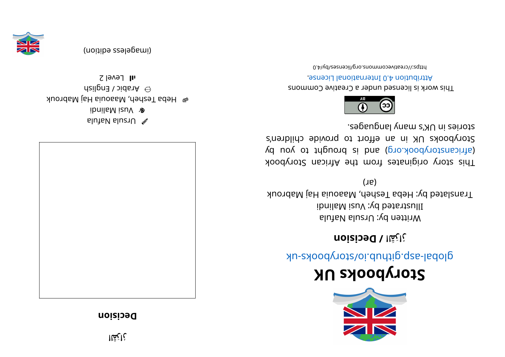## **noizibed**



alutaV slu $\approx$ ibnil a Malindi e Hepa Tesheh, Maaouia Haj Mabrouk  $\hat{\mathsf{m}}$  Arabish  $\hat{\mathsf{m}}$  $2$  level 2



(imageless edition)



## **KUskoobyr otS**

global-aspook side side side should a side as

**noi si ce D/ لا رُارَقَ**

Written by: Ursula Nafula  $i$ i dinil a Mi sulli and indindi Translated by: Heba Tesheh, Maaouia Haj Mabrouk  $(16)$ 

This story originates from the African Storybook yd uoy ot triguor b b si b and (gro. Aod yor by day of an international straight and  $\alpha$ Storybooks UK in an effort to provide children's segaugnal ynam languages.



This work is licensed under a Creative Commons . esnecial and and an endiously around

bttps://creativecommons.org/licenses/by/4.0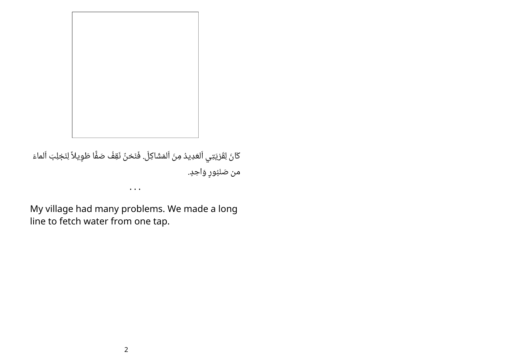

كَانَ لِقَرْيَتِي اَلعَدِيدُ مِنَ اَلمَشَاكِلَ. فَنَحْنٌ نَقِفُ صَفًّا طَوِيلاً لِنَجْلِبَ اَلماءَ من صَنْبُورٍ وَاحِدٍ.

My village had many problems. We made a long line to fetch water from one tap.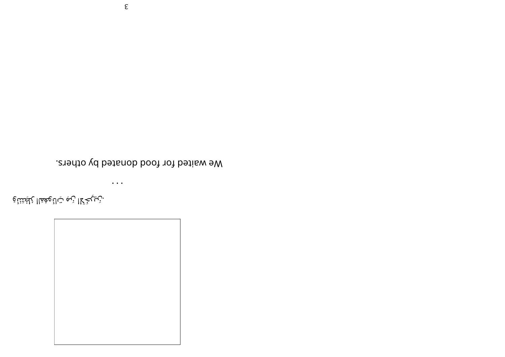$\bullet$   $\bullet$   $\bullet$ 

.زبيبخُلا زبم تالْهِمْمَاا رُبْعَتْنَاهِ

We waited for food donated by others.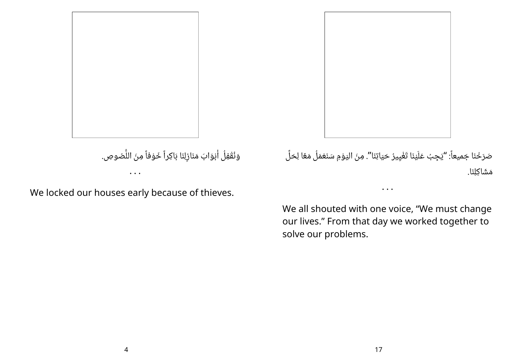

وَنُقْفِلُ أَبْوَابَ مَنَازِلِنَا بَاكِراً خَوْفاً مِنَ اللَّصُوصِ.

We locked our houses early because of thieves.

• • •

صَرَخْنَا جَميعاً: "يَجِبُ عَلَيْنَا تَغْيِيرُ حَيَاتِنَا". مِنَ اليَوْمِ سَنَعْمَلُ مَعًا لِحَلِّ ِ مَشَاكِلنَا.

We all shouted with one voice, "We must change our lives." From that day we worked together to solve our problems.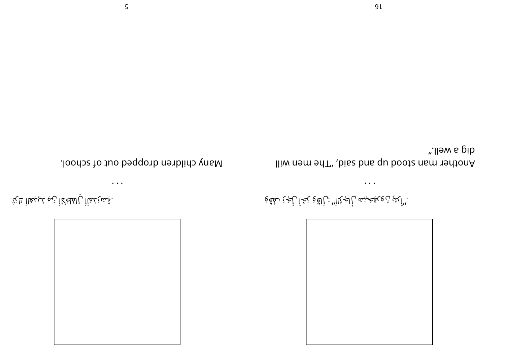





 $\bullet\hspace{0.4mm}\bullet\hspace{0.4mm}\bullet\hspace{0.4mm}$ 



."أَلِئْ نَ9ِيغَيْش رَأَلْجِ بِّاأَ" : لِأَلْقَوْ بَخَآ رَأَجْنَ ىفَقَّةٍ

".lləw a pib lliw nem enT" ,bisz bns qu bootz nem 19dtonA

 $\bullet\hspace{0.4mm}\bullet\hspace{0.4mm}\bullet\hspace{0.4mm}\bullet\hspace{0.4mm}$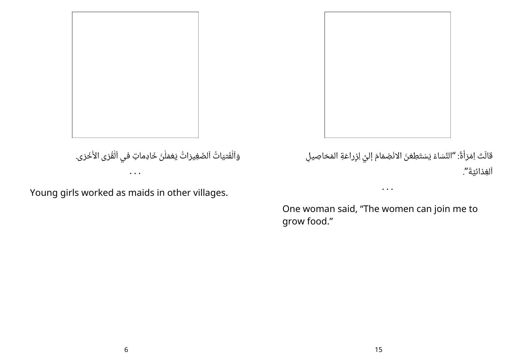وَاَلْفَتيَاتُ اَلصَّغِيرَاتُ يَعْمَلْنَ خَادِماتٍ في اَلْقُرَى الأُخْرَى. • • •

Young girls worked as maids in other villages.

َ قَالَتْ اِمْرَأَةٌ: "النِّسَاءُ يَسْتَطِعْنَ الانْضِمَامَ إليَّ لِزِراعَةِ المَحَاصِيلِ ْ اَلْغِذَائِيَّةَ".

One woman said, "The women can join me to grow food."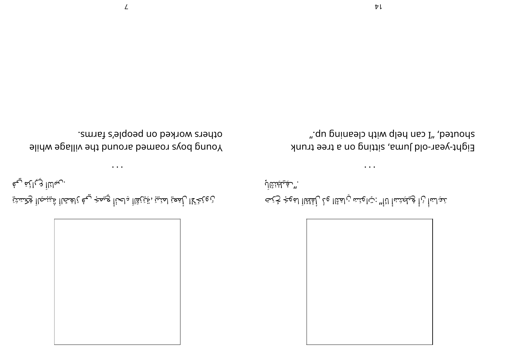

نْ وِيُخَلّا لِلْمَعِيّا لمنْيزْ ، قِيْنُقَاأَ دِلْحُنَّأْ بِحِيمَ< بِيعْ بُالْمُحَّاأَ قُيْنِيجَاأَ وُكِنَسْتَي ن بيان<u>ا</u>اً <sub>ل</sub>ي) لِمَن <sub>ب</sub>ي

• • •

Young boys roamed abound the village while others worked on people's farms.



مْأْ نْ أْ وَٰيكِتْسْأُ لنَأْ" : تِامِنْمَ ن لمَثْنَا ـَنحِـلـمَأْ نُ أُ وُيلْمِتَـنَماْ لَـأَلْـ : تِـالمِنَـم نِ لمَقَّال فَـأ بِلْفُلظَااَ لمَعِجُ خَـبَحَـ .**"** بِيْلِيَنْتِّأَلِّ

Eight-year-old Juma, sitting on a tree trunk an buiusel diw dley uso I" dodhods".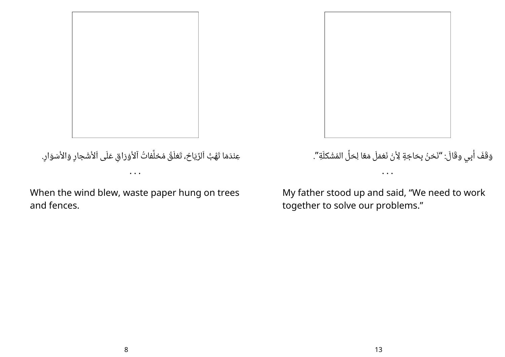

عِنْدَمَا تَهُبُّ اَلرِّيَاحُ، تَعْلَقُ مُخلَّفاتُ آلأَوْرَاقِ عَلَى اَلأَشْجارِ وَالأَسْوَارِ. • • •

When the wind blew, waste paper hung on trees and fences.



## وَقَفَ أُبِي وقَالَ: "نَحْنُ بِحَاجَةٍ لِأَنْ نَعْمَلَ مَعًا لِحَلٍّ المُشْكَلَةِ". • • •

My father stood up and said, "We need to work together to solve our problems."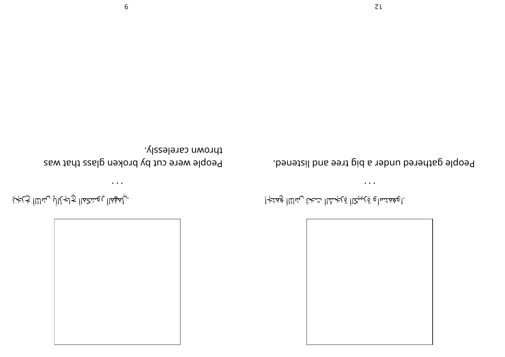

.اوغُمْتَساْو قِرْبِيكااْ قِرْجَسُّنَااْ شَحْتْ لِمُالِّنَااْ وَمَتَجْاِ

People gathered under a big tree and listened.

• • •

People were cut by broken glass that was thrown carelessly.

• • •

. بِلمَوْمُااْ بِعِسْكَمَااْ <sub>كَ</sub>لَجالِ بِسُانِّااْ حُبَجْيَّ